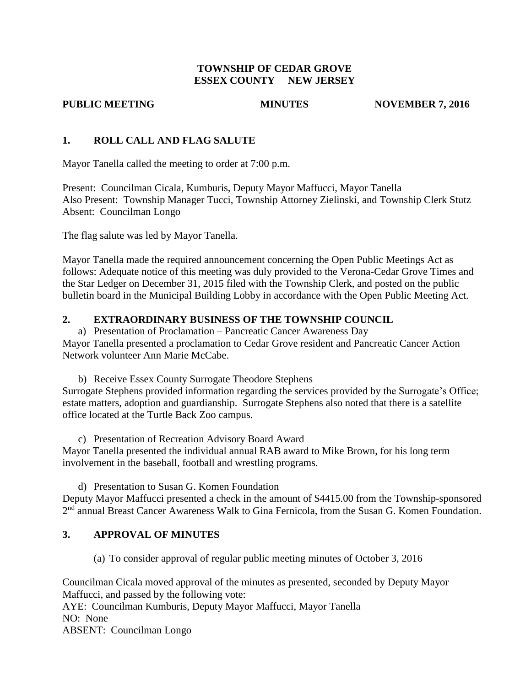#### **TOWNSHIP OF CEDAR GROVE ESSEX COUNTY NEW JERSEY**

**PUBLIC MEETING MINUTES NOVEMBER 7, 2016** 

#### **1. ROLL CALL AND FLAG SALUTE**

Mayor Tanella called the meeting to order at 7:00 p.m.

Present: Councilman Cicala, Kumburis, Deputy Mayor Maffucci, Mayor Tanella Also Present: Township Manager Tucci, Township Attorney Zielinski, and Township Clerk Stutz Absent: Councilman Longo

The flag salute was led by Mayor Tanella.

Mayor Tanella made the required announcement concerning the Open Public Meetings Act as follows: Adequate notice of this meeting was duly provided to the Verona-Cedar Grove Times and the Star Ledger on December 31, 2015 filed with the Township Clerk, and posted on the public bulletin board in the Municipal Building Lobby in accordance with the Open Public Meeting Act.

## **2. EXTRAORDINARY BUSINESS OF THE TOWNSHIP COUNCIL**

a) Presentation of Proclamation – Pancreatic Cancer Awareness Day Mayor Tanella presented a proclamation to Cedar Grove resident and Pancreatic Cancer Action Network volunteer Ann Marie McCabe.

b) Receive Essex County Surrogate Theodore Stephens Surrogate Stephens provided information regarding the services provided by the Surrogate's Office; estate matters, adoption and guardianship. Surrogate Stephens also noted that there is a satellite office located at the Turtle Back Zoo campus.

c) Presentation of Recreation Advisory Board Award Mayor Tanella presented the individual annual RAB award to Mike Brown, for his long term involvement in the baseball, football and wrestling programs.

d) Presentation to Susan G. Komen Foundation Deputy Mayor Maffucci presented a check in the amount of \$4415.00 from the Township-sponsored 2<sup>nd</sup> annual Breast Cancer Awareness Walk to Gina Fernicola, from the Susan G. Komen Foundation.

## **3. APPROVAL OF MINUTES**

(a) To consider approval of regular public meeting minutes of October 3, 2016

Councilman Cicala moved approval of the minutes as presented, seconded by Deputy Mayor Maffucci, and passed by the following vote: AYE: Councilman Kumburis, Deputy Mayor Maffucci, Mayor Tanella NO: None ABSENT: Councilman Longo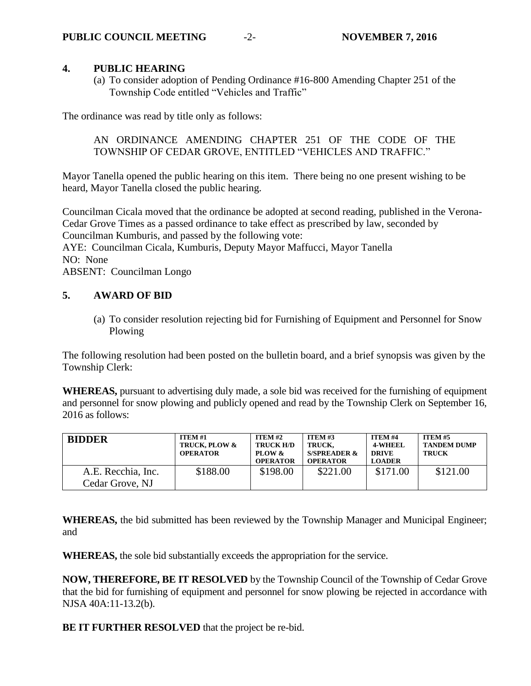#### **4. PUBLIC HEARING**

(a) To consider adoption of Pending Ordinance #16-800 Amending Chapter 251 of the Township Code entitled "Vehicles and Traffic"

The ordinance was read by title only as follows:

AN ORDINANCE AMENDING CHAPTER 251 OF THE CODE OF THE TOWNSHIP OF CEDAR GROVE, ENTITLED "VEHICLES AND TRAFFIC."

Mayor Tanella opened the public hearing on this item. There being no one present wishing to be heard, Mayor Tanella closed the public hearing.

Councilman Cicala moved that the ordinance be adopted at second reading, published in the Verona-Cedar Grove Times as a passed ordinance to take effect as prescribed by law, seconded by Councilman Kumburis, and passed by the following vote:

AYE: Councilman Cicala, Kumburis, Deputy Mayor Maffucci, Mayor Tanella NO: None

ABSENT: Councilman Longo

## **5. AWARD OF BID**

(a) To consider resolution rejecting bid for Furnishing of Equipment and Personnel for Snow Plowing

The following resolution had been posted on the bulletin board, and a brief synopsis was given by the Township Clerk:

**WHEREAS,** pursuant to advertising duly made, a sole bid was received for the furnishing of equipment and personnel for snow plowing and publicly opened and read by the Township Clerk on September 16, 2016 as follows:

| <b>BIDDER</b>                         | <b>ITEM #1</b><br>TRUCK, PLOW &<br><b>OPERATOR</b> | <b>ITEM #2</b><br><b>TRUCK H/D</b><br>PLOW &<br><b>OPERATOR</b> | <b>ITEM #3</b><br><b>TRUCK.</b><br><b>S/SPREADER &amp;</b><br><b>OPERATOR</b> | <b>ITEM #4</b><br><b>4-WHEEL</b><br><b>DRIVE</b><br><b>LOADER</b> | <b>ITEM #5</b><br><b>TANDEM DUMP</b><br>TRUCK |
|---------------------------------------|----------------------------------------------------|-----------------------------------------------------------------|-------------------------------------------------------------------------------|-------------------------------------------------------------------|-----------------------------------------------|
| A.E. Recchia, Inc.<br>Cedar Grove, NJ | \$188.00                                           | \$198.00                                                        | \$221.00                                                                      | \$171.00                                                          | \$121.00                                      |

**WHEREAS,** the bid submitted has been reviewed by the Township Manager and Municipal Engineer; and

**WHEREAS,** the sole bid substantially exceeds the appropriation for the service.

**NOW, THEREFORE, BE IT RESOLVED** by the Township Council of the Township of Cedar Grove that the bid for furnishing of equipment and personnel for snow plowing be rejected in accordance with NJSA 40A:11-13.2(b).

**BE IT FURTHER RESOLVED** that the project be re-bid.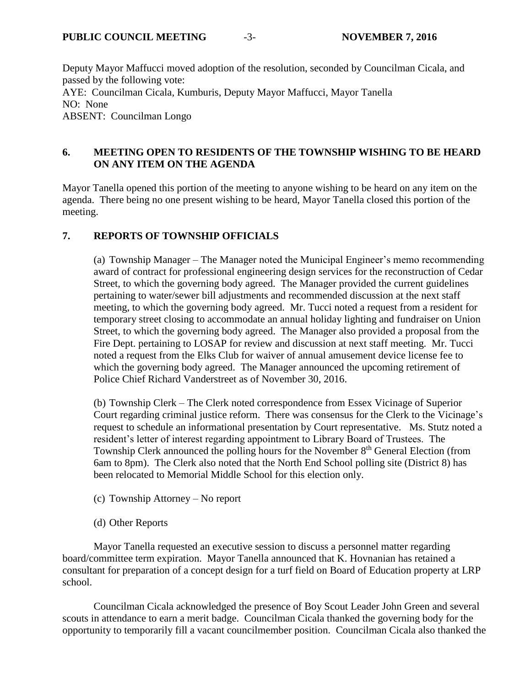Deputy Mayor Maffucci moved adoption of the resolution, seconded by Councilman Cicala, and passed by the following vote: AYE: Councilman Cicala, Kumburis, Deputy Mayor Maffucci, Mayor Tanella NO: None ABSENT: Councilman Longo

## **6. MEETING OPEN TO RESIDENTS OF THE TOWNSHIP WISHING TO BE HEARD ON ANY ITEM ON THE AGENDA**

Mayor Tanella opened this portion of the meeting to anyone wishing to be heard on any item on the agenda. There being no one present wishing to be heard, Mayor Tanella closed this portion of the meeting.

## **7. REPORTS OF TOWNSHIP OFFICIALS**

(a) Township Manager – The Manager noted the Municipal Engineer's memo recommending award of contract for professional engineering design services for the reconstruction of Cedar Street, to which the governing body agreed. The Manager provided the current guidelines pertaining to water/sewer bill adjustments and recommended discussion at the next staff meeting, to which the governing body agreed. Mr. Tucci noted a request from a resident for temporary street closing to accommodate an annual holiday lighting and fundraiser on Union Street, to which the governing body agreed. The Manager also provided a proposal from the Fire Dept. pertaining to LOSAP for review and discussion at next staff meeting. Mr. Tucci noted a request from the Elks Club for waiver of annual amusement device license fee to which the governing body agreed. The Manager announced the upcoming retirement of Police Chief Richard Vanderstreet as of November 30, 2016.

(b) Township Clerk – The Clerk noted correspondence from Essex Vicinage of Superior Court regarding criminal justice reform. There was consensus for the Clerk to the Vicinage's request to schedule an informational presentation by Court representative. Ms. Stutz noted a resident's letter of interest regarding appointment to Library Board of Trustees. The Township Clerk announced the polling hours for the November 8<sup>th</sup> General Election (from 6am to 8pm). The Clerk also noted that the North End School polling site (District 8) has been relocated to Memorial Middle School for this election only.

- (c) Township Attorney No report
- (d) Other Reports

Mayor Tanella requested an executive session to discuss a personnel matter regarding board/committee term expiration. Mayor Tanella announced that K. Hovnanian has retained a consultant for preparation of a concept design for a turf field on Board of Education property at LRP school.

Councilman Cicala acknowledged the presence of Boy Scout Leader John Green and several scouts in attendance to earn a merit badge. Councilman Cicala thanked the governing body for the opportunity to temporarily fill a vacant councilmember position. Councilman Cicala also thanked the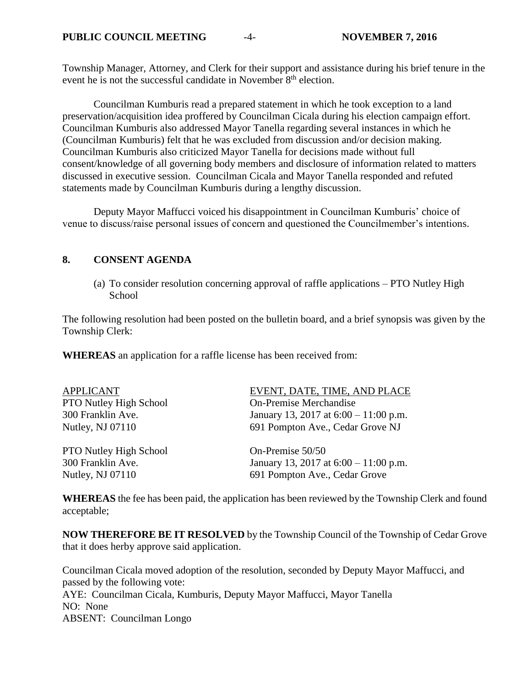Township Manager, Attorney, and Clerk for their support and assistance during his brief tenure in the event he is not the successful candidate in November  $8<sup>th</sup>$  election.

Councilman Kumburis read a prepared statement in which he took exception to a land preservation/acquisition idea proffered by Councilman Cicala during his election campaign effort. Councilman Kumburis also addressed Mayor Tanella regarding several instances in which he (Councilman Kumburis) felt that he was excluded from discussion and/or decision making. Councilman Kumburis also criticized Mayor Tanella for decisions made without full consent/knowledge of all governing body members and disclosure of information related to matters discussed in executive session. Councilman Cicala and Mayor Tanella responded and refuted statements made by Councilman Kumburis during a lengthy discussion.

Deputy Mayor Maffucci voiced his disappointment in Councilman Kumburis' choice of venue to discuss/raise personal issues of concern and questioned the Councilmember's intentions.

#### **8. CONSENT AGENDA**

(a) To consider resolution concerning approval of raffle applications – PTO Nutley High **School** 

The following resolution had been posted on the bulletin board, and a brief synopsis was given by the Township Clerk:

**WHEREAS** an application for a raffle license has been received from:

| <b>APPLICANT</b>              | EVENT, DATE, TIME, AND PLACE            |
|-------------------------------|-----------------------------------------|
| PTO Nutley High School        | <b>On-Premise Merchandise</b>           |
| 300 Franklin Ave.             | January 13, 2017 at $6:00 - 11:00$ p.m. |
| Nutley, NJ 07110              | 691 Pompton Ave., Cedar Grove NJ        |
| <b>PTO Nutley High School</b> | On-Premise 50/50                        |
| 300 Franklin Ave.             | January 13, 2017 at $6:00 - 11:00$ p.m. |
| Nutley, NJ 07110              | 691 Pompton Ave., Cedar Grove           |

**WHEREAS** the fee has been paid, the application has been reviewed by the Township Clerk and found acceptable;

**NOW THEREFORE BE IT RESOLVED** by the Township Council of the Township of Cedar Grove that it does herby approve said application.

Councilman Cicala moved adoption of the resolution, seconded by Deputy Mayor Maffucci, and passed by the following vote: AYE: Councilman Cicala, Kumburis, Deputy Mayor Maffucci, Mayor Tanella NO: None ABSENT: Councilman Longo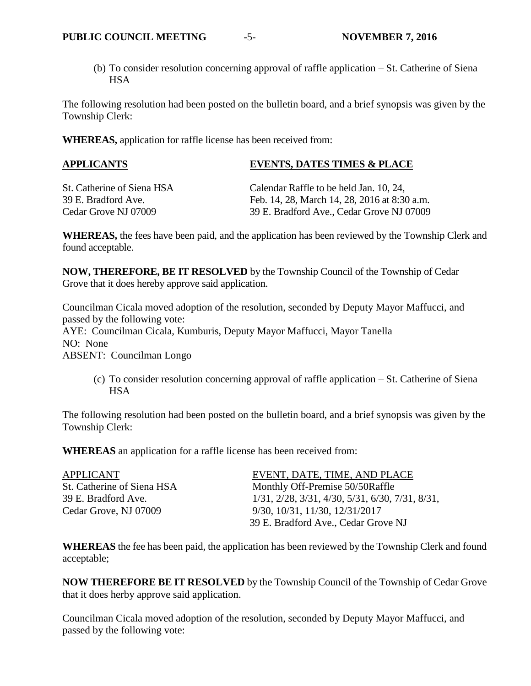(b) To consider resolution concerning approval of raffle application – St. Catherine of Siena **HSA** 

The following resolution had been posted on the bulletin board, and a brief synopsis was given by the Township Clerk:

**WHEREAS,** application for raffle license has been received from:

# **APPLICANTS EVENTS, DATES TIMES & PLACE**

St. Catherine of Siena HSA Calendar Raffle to be held Jan. 10, 24, 39 E. Bradford Ave. Feb. 14, 28, March 14, 28, 2016 at 8:30 a.m. Cedar Grove NJ 07009 39 E. Bradford Ave., Cedar Grove NJ 07009

**WHEREAS,** the fees have been paid, and the application has been reviewed by the Township Clerk and found acceptable.

**NOW, THEREFORE, BE IT RESOLVED** by the Township Council of the Township of Cedar Grove that it does hereby approve said application.

Councilman Cicala moved adoption of the resolution, seconded by Deputy Mayor Maffucci, and passed by the following vote: AYE: Councilman Cicala, Kumburis, Deputy Mayor Maffucci, Mayor Tanella NO: None ABSENT: Councilman Longo

(c) To consider resolution concerning approval of raffle application – St. Catherine of Siena **HSA** 

The following resolution had been posted on the bulletin board, and a brief synopsis was given by the Township Clerk:

**WHEREAS** an application for a raffle license has been received from:

| EVENT, DATE, TIME, AND PLACE                      |
|---------------------------------------------------|
| Monthly Off-Premise 50/50Raffle                   |
| $1/31, 2/28, 3/31, 4/30, 5/31, 6/30, 7/31, 8/31,$ |
| 9/30, 10/31, 11/30, 12/31/2017                    |
| 39 E. Bradford Ave., Cedar Grove NJ               |
|                                                   |

**WHEREAS** the fee has been paid, the application has been reviewed by the Township Clerk and found acceptable;

**NOW THEREFORE BE IT RESOLVED** by the Township Council of the Township of Cedar Grove that it does herby approve said application.

Councilman Cicala moved adoption of the resolution, seconded by Deputy Mayor Maffucci, and passed by the following vote: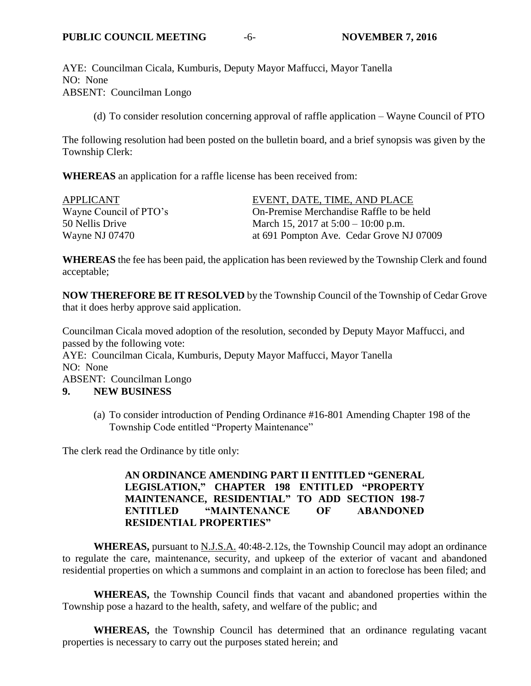AYE: Councilman Cicala, Kumburis, Deputy Mayor Maffucci, Mayor Tanella NO: None ABSENT: Councilman Longo

(d) To consider resolution concerning approval of raffle application – Wayne Council of PTO

The following resolution had been posted on the bulletin board, and a brief synopsis was given by the Township Clerk:

**WHEREAS** an application for a raffle license has been received from:

| APPLICANT              | EVENT, DATE, TIME, AND PLACE             |
|------------------------|------------------------------------------|
| Wayne Council of PTO's | On-Premise Merchandise Raffle to be held |
| 50 Nellis Drive        | March 15, 2017 at $5:00 - 10:00$ p.m.    |
| Wayne NJ 07470         | at 691 Pompton Ave. Cedar Grove NJ 07009 |

**WHEREAS** the fee has been paid, the application has been reviewed by the Township Clerk and found acceptable;

**NOW THEREFORE BE IT RESOLVED** by the Township Council of the Township of Cedar Grove that it does herby approve said application.

Councilman Cicala moved adoption of the resolution, seconded by Deputy Mayor Maffucci, and passed by the following vote: AYE: Councilman Cicala, Kumburis, Deputy Mayor Maffucci, Mayor Tanella NO: None ABSENT: Councilman Longo **9. NEW BUSINESS**

(a) To consider introduction of Pending Ordinance #16-801 Amending Chapter 198 of the Township Code entitled "Property Maintenance"

The clerk read the Ordinance by title only:

## **AN ORDINANCE AMENDING PART II ENTITLED "GENERAL LEGISLATION," CHAPTER 198 ENTITLED "PROPERTY MAINTENANCE, RESIDENTIAL" TO ADD SECTION 198-7 ENTITLED "MAINTENANCE OF ABANDONED RESIDENTIAL PROPERTIES"**

**WHEREAS,** pursuant to N.J.S.A. 40:48-2.12s, the Township Council may adopt an ordinance to regulate the care, maintenance, security, and upkeep of the exterior of vacant and abandoned residential properties on which a summons and complaint in an action to foreclose has been filed; and

**WHEREAS,** the Township Council finds that vacant and abandoned properties within the Township pose a hazard to the health, safety, and welfare of the public; and

**WHEREAS,** the Township Council has determined that an ordinance regulating vacant properties is necessary to carry out the purposes stated herein; and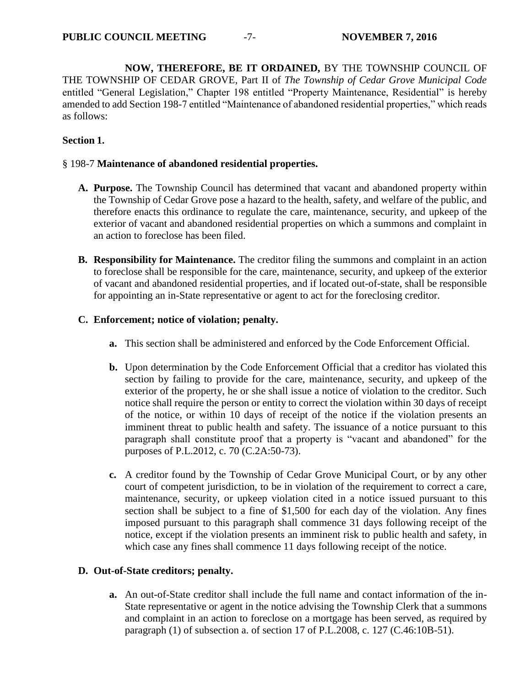**NOW, THEREFORE, BE IT ORDAINED,** BY THE TOWNSHIP COUNCIL OF THE TOWNSHIP OF CEDAR GROVE, Part II of *The Township of Cedar Grove Municipal Code* entitled "General Legislation," Chapter 198 entitled "Property Maintenance, Residential" is hereby amended to add Section 198-7 entitled "Maintenance of abandoned residential properties," which reads as follows:

#### **Section 1.**

#### § 198-7 **Maintenance of abandoned residential properties.**

- **A. Purpose.** The Township Council has determined that vacant and abandoned property within the Township of Cedar Grove pose a hazard to the health, safety, and welfare of the public, and therefore enacts this ordinance to regulate the care, maintenance, security, and upkeep of the exterior of vacant and abandoned residential properties on which a summons and complaint in an action to foreclose has been filed.
- **B. Responsibility for Maintenance.** The creditor filing the summons and complaint in an action to foreclose shall be responsible for the care, maintenance, security, and upkeep of the exterior of vacant and abandoned residential properties, and if located out-of-state, shall be responsible for appointing an in-State representative or agent to act for the foreclosing creditor.

#### **C. Enforcement; notice of violation; penalty.**

- **a.** This section shall be administered and enforced by the Code Enforcement Official.
- **b.** Upon determination by the Code Enforcement Official that a creditor has violated this section by failing to provide for the care, maintenance, security, and upkeep of the exterior of the property, he or she shall issue a notice of violation to the creditor. Such notice shall require the person or entity to correct the violation within 30 days of receipt of the notice, or within 10 days of receipt of the notice if the violation presents an imminent threat to public health and safety. The issuance of a notice pursuant to this paragraph shall constitute proof that a property is "vacant and abandoned" for the purposes of P.L.2012, c. 70 (C.2A:50-73).
- **c.** A creditor found by the Township of Cedar Grove Municipal Court, or by any other court of competent jurisdiction, to be in violation of the requirement to correct a care, maintenance, security, or upkeep violation cited in a notice issued pursuant to this section shall be subject to a fine of \$1,500 for each day of the violation. Any fines imposed pursuant to this paragraph shall commence 31 days following receipt of the notice, except if the violation presents an imminent risk to public health and safety, in which case any fines shall commence 11 days following receipt of the notice.

## **D. Out-of-State creditors; penalty.**

**a.** An out-of-State creditor shall include the full name and contact information of the in-State representative or agent in the notice advising the Township Clerk that a summons and complaint in an action to foreclose on a mortgage has been served, as required by paragraph (1) of subsection a. of section 17 of P.L.2008, c. 127 (C.46:10B-51).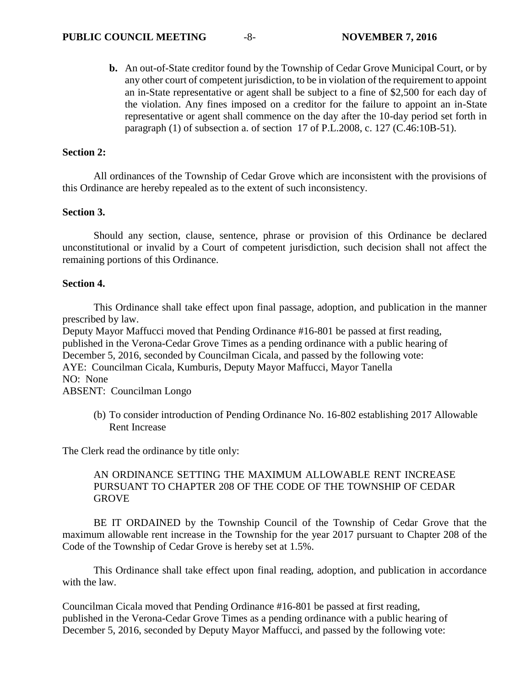**b.** An out-of-State creditor found by the Township of Cedar Grove Municipal Court, or by any other court of competent jurisdiction, to be in violation of the requirement to appoint an in-State representative or agent shall be subject to a fine of \$2,500 for each day of the violation. Any fines imposed on a creditor for the failure to appoint an in-State representative or agent shall commence on the day after the 10-day period set forth in paragraph (1) of subsection a. of section 17 of P.L.2008, c. 127 (C.46:10B-51).

#### **Section 2:**

All ordinances of the Township of Cedar Grove which are inconsistent with the provisions of this Ordinance are hereby repealed as to the extent of such inconsistency.

#### **Section 3.**

Should any section, clause, sentence, phrase or provision of this Ordinance be declared unconstitutional or invalid by a Court of competent jurisdiction, such decision shall not affect the remaining portions of this Ordinance.

#### **Section 4.**

This Ordinance shall take effect upon final passage, adoption, and publication in the manner prescribed by law.

Deputy Mayor Maffucci moved that Pending Ordinance #16-801 be passed at first reading, published in the Verona-Cedar Grove Times as a pending ordinance with a public hearing of December 5, 2016, seconded by Councilman Cicala, and passed by the following vote: AYE: Councilman Cicala, Kumburis, Deputy Mayor Maffucci, Mayor Tanella NO: None ABSENT: Councilman Longo

(b) To consider introduction of Pending Ordinance No. 16-802 establishing 2017 Allowable Rent Increase

The Clerk read the ordinance by title only:

#### AN ORDINANCE SETTING THE MAXIMUM ALLOWABLE RENT INCREASE PURSUANT TO CHAPTER 208 OF THE CODE OF THE TOWNSHIP OF CEDAR **GROVE**

BE IT ORDAINED by the Township Council of the Township of Cedar Grove that the maximum allowable rent increase in the Township for the year 2017 pursuant to Chapter 208 of the Code of the Township of Cedar Grove is hereby set at 1.5%.

This Ordinance shall take effect upon final reading, adoption, and publication in accordance with the law.

Councilman Cicala moved that Pending Ordinance #16-801 be passed at first reading, published in the Verona-Cedar Grove Times as a pending ordinance with a public hearing of December 5, 2016, seconded by Deputy Mayor Maffucci, and passed by the following vote: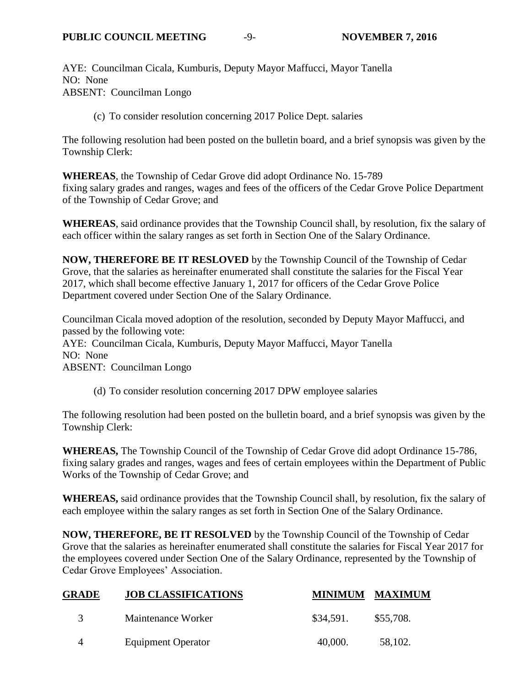AYE: Councilman Cicala, Kumburis, Deputy Mayor Maffucci, Mayor Tanella NO: None ABSENT: Councilman Longo

(c) To consider resolution concerning 2017 Police Dept. salaries

The following resolution had been posted on the bulletin board, and a brief synopsis was given by the Township Clerk:

**WHEREAS**, the Township of Cedar Grove did adopt Ordinance No. 15-789 fixing salary grades and ranges, wages and fees of the officers of the Cedar Grove Police Department of the Township of Cedar Grove; and

**WHEREAS**, said ordinance provides that the Township Council shall, by resolution, fix the salary of each officer within the salary ranges as set forth in Section One of the Salary Ordinance.

**NOW, THEREFORE BE IT RESLOVED** by the Township Council of the Township of Cedar Grove, that the salaries as hereinafter enumerated shall constitute the salaries for the Fiscal Year 2017, which shall become effective January 1, 2017 for officers of the Cedar Grove Police Department covered under Section One of the Salary Ordinance.

Councilman Cicala moved adoption of the resolution, seconded by Deputy Mayor Maffucci, and passed by the following vote: AYE: Councilman Cicala, Kumburis, Deputy Mayor Maffucci, Mayor Tanella NO: None ABSENT: Councilman Longo

(d) To consider resolution concerning 2017 DPW employee salaries

The following resolution had been posted on the bulletin board, and a brief synopsis was given by the Township Clerk:

**WHEREAS,** The Township Council of the Township of Cedar Grove did adopt Ordinance 15-786, fixing salary grades and ranges, wages and fees of certain employees within the Department of Public Works of the Township of Cedar Grove; and

**WHEREAS,** said ordinance provides that the Township Council shall, by resolution, fix the salary of each employee within the salary ranges as set forth in Section One of the Salary Ordinance.

**NOW, THEREFORE, BE IT RESOLVED** by the Township Council of the Township of Cedar Grove that the salaries as hereinafter enumerated shall constitute the salaries for Fiscal Year 2017 for the employees covered under Section One of the Salary Ordinance, represented by the Township of Cedar Grove Employees' Association.

| <b>GRADE</b>  | <b>JOB CLASSIFICATIONS</b> |           | <b>MINIMUM MAXIMUM</b> |
|---------------|----------------------------|-----------|------------------------|
| $\mathcal{R}$ | Maintenance Worker         | \$34,591. | \$55,708.              |
|               | <b>Equipment Operator</b>  | 40,000.   | 58,102.                |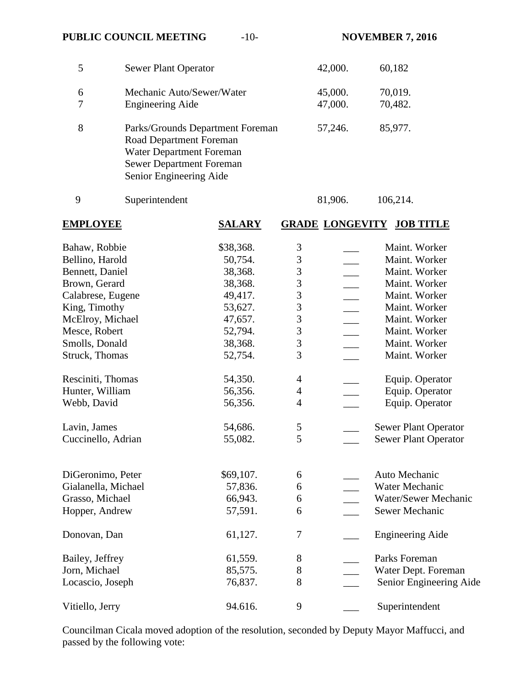# **PUBLIC COUNCIL MEETING**  $-10$ - **NOVEMBER 7, 2016**

|        | <b>Sewer Plant Operator</b>                                                                                                                           | 42,000.            | 60,182             |
|--------|-------------------------------------------------------------------------------------------------------------------------------------------------------|--------------------|--------------------|
| 6<br>7 | Mechanic Auto/Sewer/Water<br><b>Engineering Aide</b>                                                                                                  | 45,000.<br>47,000. | 70,019.<br>70,482. |
| 8      | Parks/Grounds Department Foreman<br>Road Department Foreman<br>Water Department Foreman<br><b>Sewer Department Foreman</b><br>Senior Engineering Aide | 57,246.            | 85,977.            |

9 Superintendent 81,906. 106,214.

| <b>EMPLOYEE</b>     | <b>SALARY</b> |                  | <b>GRADE LONGEVITY</b> | <b>JOB TITLE</b>            |
|---------------------|---------------|------------------|------------------------|-----------------------------|
| Bahaw, Robbie       | \$38,368.     | $\mathfrak{Z}$   |                        | Maint. Worker               |
| Bellino, Harold     | 50,754.       | 3                |                        | Maint. Worker               |
| Bennett, Daniel     | 38,368.       | 3                |                        | Maint. Worker               |
| Brown, Gerard       | 38,368.       | 3                |                        | Maint. Worker               |
| Calabrese, Eugene   | 49,417.       | 3                |                        | Maint. Worker               |
| King, Timothy       | 53,627.       | 3                |                        | Maint. Worker               |
| McElroy, Michael    | 47,657.       | 3                |                        | Maint. Worker               |
| Mesce, Robert       | 52,794.       | 3                |                        | Maint. Worker               |
| Smolls, Donald      | 38,368.       | 3                |                        | Maint. Worker               |
| Struck, Thomas      | 52,754.       | 3                |                        | Maint. Worker               |
| Resciniti, Thomas   | 54,350.       | $\overline{4}$   |                        | Equip. Operator             |
| Hunter, William     | 56,356.       | $\overline{4}$   |                        | Equip. Operator             |
| Webb, David         | 56,356.       | $\overline{4}$   |                        | Equip. Operator             |
| Lavin, James        | 54,686.       | 5                |                        | <b>Sewer Plant Operator</b> |
| Cuccinello, Adrian  | 55,082.       | 5                |                        | <b>Sewer Plant Operator</b> |
| DiGeronimo, Peter   | \$69,107.     | 6                |                        | Auto Mechanic               |
| Gialanella, Michael | 57,836.       | 6                |                        | Water Mechanic              |
| Grasso, Michael     | 66,943.       | 6                |                        | Water/Sewer Mechanic        |
| Hopper, Andrew      | 57,591.       | 6                |                        | Sewer Mechanic              |
| Donovan, Dan        | 61,127.       | $\boldsymbol{7}$ |                        | <b>Engineering Aide</b>     |
| Bailey, Jeffrey     | 61,559.       | 8                |                        | Parks Foreman               |
| Jorn, Michael       | 85,575.       | $8\,$            |                        | Water Dept. Foreman         |
| Locascio, Joseph    | 76,837.       | 8                |                        | Senior Engineering Aide     |
| Vitiello, Jerry     | 94.616.       | 9                |                        | Superintendent              |

Councilman Cicala moved adoption of the resolution, seconded by Deputy Mayor Maffucci, and passed by the following vote: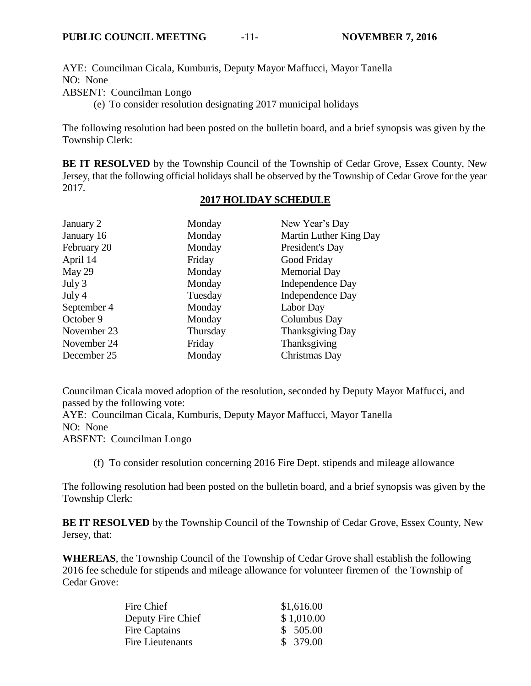AYE: Councilman Cicala, Kumburis, Deputy Mayor Maffucci, Mayor Tanella NO: None

ABSENT: Councilman Longo

(e) To consider resolution designating 2017 municipal holidays

The following resolution had been posted on the bulletin board, and a brief synopsis was given by the Township Clerk:

**BE IT RESOLVED** by the Township Council of the Township of Cedar Grove, Essex County, New Jersey, that the following official holidays shall be observed by the Township of Cedar Grove for the year 2017.

#### **2017 HOLIDAY SCHEDULE**

| January 2   | Monday   | New Year's Day          |
|-------------|----------|-------------------------|
| January 16  | Monday   | Martin Luther King Day  |
| February 20 | Monday   | President's Day         |
| April 14    | Friday   | Good Friday             |
| May 29      | Monday   | <b>Memorial Day</b>     |
| July 3      | Monday   | Independence Day        |
| July 4      | Tuesday  | Independence Day        |
| September 4 | Monday   | Labor Day               |
| October 9   | Monday   | Columbus Day            |
| November 23 | Thursday | <b>Thanksgiving Day</b> |
| November 24 | Friday   | Thanksgiving            |
| December 25 | Monday   | Christmas Day           |

Councilman Cicala moved adoption of the resolution, seconded by Deputy Mayor Maffucci, and passed by the following vote:

AYE: Councilman Cicala, Kumburis, Deputy Mayor Maffucci, Mayor Tanella NO: None ABSENT: Councilman Longo

(f) To consider resolution concerning 2016 Fire Dept. stipends and mileage allowance

The following resolution had been posted on the bulletin board, and a brief synopsis was given by the Township Clerk:

**BE IT RESOLVED** by the Township Council of the Township of Cedar Grove, Essex County, New Jersey, that:

**WHEREAS**, the Township Council of the Township of Cedar Grove shall establish the following 2016 fee schedule for stipends and mileage allowance for volunteer firemen of the Township of Cedar Grove:

| Fire Chief        | \$1,616.00 |
|-------------------|------------|
| Deputy Fire Chief | \$1,010.00 |
| Fire Captains     | \$505.00   |
| Fire Lieutenants  | \$379.00   |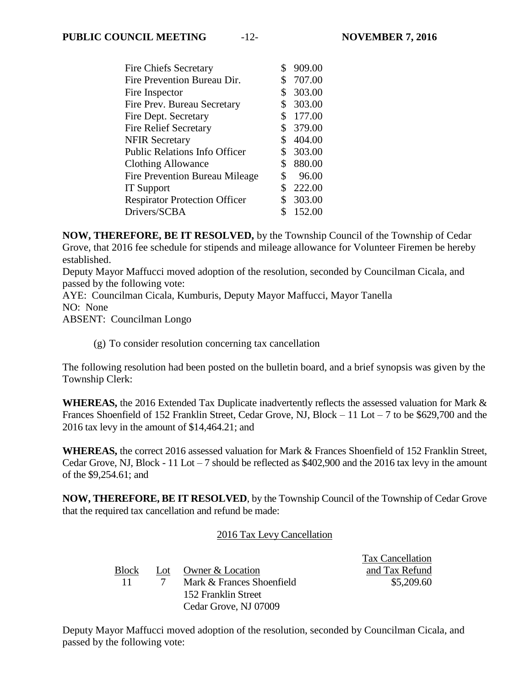$T = C_1 + C_2$ 

| <b>Fire Chiefs Secretary</b>          | \$             | 909.00   |
|---------------------------------------|----------------|----------|
| Fire Prevention Bureau Dir.           | \$             | 707.00   |
| Fire Inspector                        | \$             | 303.00   |
| Fire Prev. Bureau Secretary           | \$             | 303.00   |
| Fire Dept. Secretary                  | $\mathbb{S}^-$ | 177.00   |
| <b>Fire Relief Secretary</b>          |                | \$379.00 |
| <b>NFIR Secretary</b>                 | \$             | 404.00   |
| <b>Public Relations Info Officer</b>  | \$             | 303.00   |
| Clothing Allowance                    | \$             | 880.00   |
| <b>Fire Prevention Bureau Mileage</b> | \$             | 96.00    |
| <b>IT Support</b>                     | \$             | 222.00   |
| <b>Respirator Protection Officer</b>  | \$             | 303.00   |
| Drivers/SCBA                          | \$             | 152.00   |
|                                       |                |          |

**NOW, THEREFORE, BE IT RESOLVED,** by the Township Council of the Township of Cedar Grove, that 2016 fee schedule for stipends and mileage allowance for Volunteer Firemen be hereby established.

Deputy Mayor Maffucci moved adoption of the resolution, seconded by Councilman Cicala, and passed by the following vote:

AYE: Councilman Cicala, Kumburis, Deputy Mayor Maffucci, Mayor Tanella NO: None ABSENT: Councilman Longo

(g) To consider resolution concerning tax cancellation

The following resolution had been posted on the bulletin board, and a brief synopsis was given by the Township Clerk:

**WHEREAS,** the 2016 Extended Tax Duplicate inadvertently reflects the assessed valuation for Mark & Frances Shoenfield of 152 Franklin Street, Cedar Grove, NJ, Block – 11 Lot – 7 to be \$629,700 and the 2016 tax levy in the amount of \$14,464.21; and

**WHEREAS,** the correct 2016 assessed valuation for Mark & Frances Shoenfield of 152 Franklin Street, Cedar Grove, NJ, Block - 11 Lot  $-7$  should be reflected as \$402,900 and the 2016 tax levy in the amount of the \$9,254.61; and

**NOW, THEREFORE, BE IT RESOLVED**, by the Township Council of the Township of Cedar Grove that the required tax cancellation and refund be made:

## 2016 Tax Levy Cancellation

|       |                           | Tax Cancellation |
|-------|---------------------------|------------------|
| Block | Lot Owner & Location      | and Tax Refund   |
| $-11$ | Mark & Frances Shoenfield | \$5,209.60       |
|       | 152 Franklin Street       |                  |
|       | Cedar Grove, NJ 07009     |                  |

Deputy Mayor Maffucci moved adoption of the resolution, seconded by Councilman Cicala, and passed by the following vote: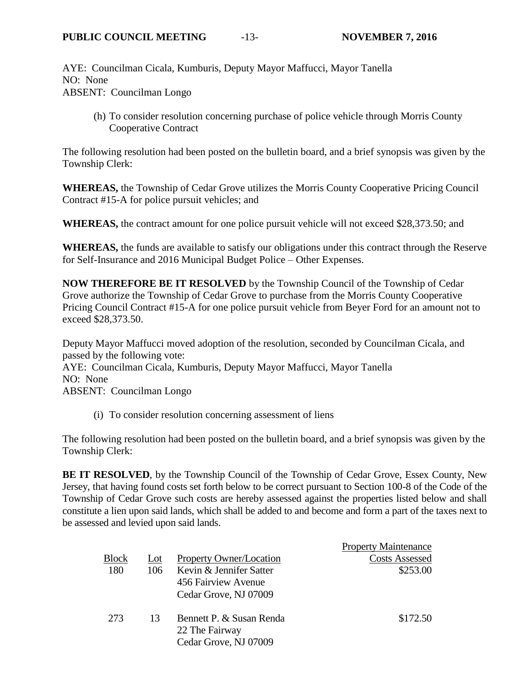AYE: Councilman Cicala, Kumburis, Deputy Mayor Maffucci, Mayor Tanella NO: None ABSENT: Councilman Longo

(h) To consider resolution concerning purchase of police vehicle through Morris County Cooperative Contract

The following resolution had been posted on the bulletin board, and a brief synopsis was given by the Township Clerk:

**WHEREAS,** the Township of Cedar Grove utilizes the Morris County Cooperative Pricing Council Contract #15-A for police pursuit vehicles; and

**WHEREAS,** the contract amount for one police pursuit vehicle will not exceed \$28,373.50; and

**WHEREAS,** the funds are available to satisfy our obligations under this contract through the Reserve for Self-Insurance and 2016 Municipal Budget Police – Other Expenses.

**NOW THEREFORE BE IT RESOLVED** by the Township Council of the Township of Cedar Grove authorize the Township of Cedar Grove to purchase from the Morris County Cooperative Pricing Council Contract #15-A for one police pursuit vehicle from Beyer Ford for an amount not to exceed \$28,373.50.

Deputy Mayor Maffucci moved adoption of the resolution, seconded by Councilman Cicala, and passed by the following vote: AYE: Councilman Cicala, Kumburis, Deputy Mayor Maffucci, Mayor Tanella NO: None ABSENT: Councilman Longo

(i) To consider resolution concerning assessment of liens

The following resolution had been posted on the bulletin board, and a brief synopsis was given by the Township Clerk:

**BE IT RESOLVED**, by the Township Council of the Township of Cedar Grove, Essex County, New Jersey, that having found costs set forth below to be correct pursuant to Section 100-8 of the Code of the Township of Cedar Grove such costs are hereby assessed against the properties listed below and shall constitute a lien upon said lands, which shall be added to and become and form a part of the taxes next to be assessed and levied upon said lands.

|              |     |                                            | <b>Property Maintenance</b> |
|--------------|-----|--------------------------------------------|-----------------------------|
| <b>Block</b> | Lot | <b>Property Owner/Location</b>             | <b>Costs Assessed</b>       |
| 180          | 106 | Kevin & Jennifer Satter                    | \$253.00                    |
|              |     | 456 Fairview Avenue                        |                             |
|              |     | Cedar Grove, NJ 07009                      |                             |
| 273          | 13  | Bennett P. & Susan Renda<br>22 The Fairway | \$172.50                    |
|              |     | Cedar Grove, NJ 07009                      |                             |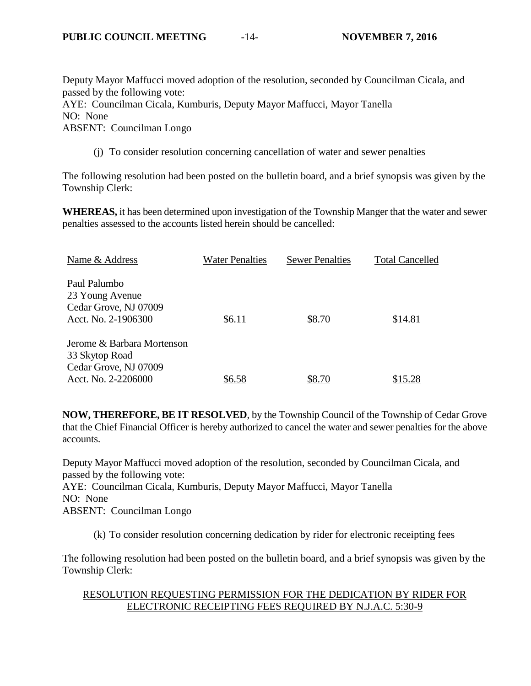Deputy Mayor Maffucci moved adoption of the resolution, seconded by Councilman Cicala, and passed by the following vote:

AYE: Councilman Cicala, Kumburis, Deputy Mayor Maffucci, Mayor Tanella NO: None

ABSENT: Councilman Longo

(j) To consider resolution concerning cancellation of water and sewer penalties

The following resolution had been posted on the bulletin board, and a brief synopsis was given by the Township Clerk:

**WHEREAS,** it has been determined upon investigation of the Township Manger that the water and sewer penalties assessed to the accounts listed herein should be cancelled:

| Name & Address             | <b>Water Penalties</b> | <b>Sewer Penalties</b> | <b>Total Cancelled</b> |
|----------------------------|------------------------|------------------------|------------------------|
| Paul Palumbo               |                        |                        |                        |
| 23 Young Avenue            |                        |                        |                        |
| Cedar Grove, NJ 07009      |                        |                        |                        |
| Acct. No. 2-1906300        | \$6.11                 | \$8.70                 | \$14.81                |
| Jerome & Barbara Mortenson |                        |                        |                        |
| 33 Skytop Road             |                        |                        |                        |
| Cedar Grove, NJ 07009      |                        |                        |                        |
| Acct. No. 2-2206000        | \$6.58                 | \$8.70                 | \$15.28                |

**NOW, THEREFORE, BE IT RESOLVED**, by the Township Council of the Township of Cedar Grove that the Chief Financial Officer is hereby authorized to cancel the water and sewer penalties for the above accounts.

Deputy Mayor Maffucci moved adoption of the resolution, seconded by Councilman Cicala, and passed by the following vote: AYE: Councilman Cicala, Kumburis, Deputy Mayor Maffucci, Mayor Tanella NO: None ABSENT: Councilman Longo

(k) To consider resolution concerning dedication by rider for electronic receipting fees

The following resolution had been posted on the bulletin board, and a brief synopsis was given by the Township Clerk:

#### RESOLUTION REQUESTING PERMISSION FOR THE DEDICATION BY RIDER FOR ELECTRONIC RECEIPTING FEES REQUIRED BY N.J.A.C. 5:30-9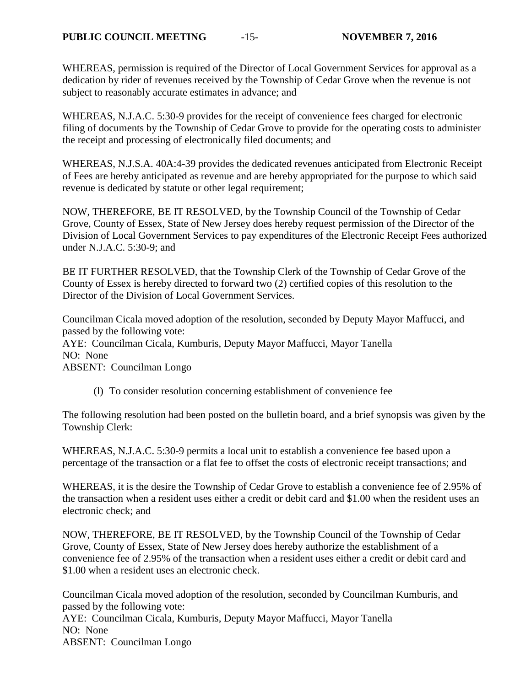WHEREAS, permission is required of the Director of Local Government Services for approval as a dedication by rider of revenues received by the Township of Cedar Grove when the revenue is not subject to reasonably accurate estimates in advance; and

WHEREAS, N.J.A.C. 5:30-9 provides for the receipt of convenience fees charged for electronic filing of documents by the Township of Cedar Grove to provide for the operating costs to administer the receipt and processing of electronically filed documents; and

WHEREAS, N.J.S.A. 40A:4-39 provides the dedicated revenues anticipated from Electronic Receipt of Fees are hereby anticipated as revenue and are hereby appropriated for the purpose to which said revenue is dedicated by statute or other legal requirement;

NOW, THEREFORE, BE IT RESOLVED, by the Township Council of the Township of Cedar Grove, County of Essex, State of New Jersey does hereby request permission of the Director of the Division of Local Government Services to pay expenditures of the Electronic Receipt Fees authorized under N.J.A.C. 5:30-9; and

BE IT FURTHER RESOLVED, that the Township Clerk of the Township of Cedar Grove of the County of Essex is hereby directed to forward two (2) certified copies of this resolution to the Director of the Division of Local Government Services.

Councilman Cicala moved adoption of the resolution, seconded by Deputy Mayor Maffucci, and passed by the following vote: AYE: Councilman Cicala, Kumburis, Deputy Mayor Maffucci, Mayor Tanella NO: None ABSENT: Councilman Longo

(l) To consider resolution concerning establishment of convenience fee

The following resolution had been posted on the bulletin board, and a brief synopsis was given by the Township Clerk:

WHEREAS, N.J.A.C. 5:30-9 permits a local unit to establish a convenience fee based upon a percentage of the transaction or a flat fee to offset the costs of electronic receipt transactions; and

WHEREAS, it is the desire the Township of Cedar Grove to establish a convenience fee of 2.95% of the transaction when a resident uses either a credit or debit card and \$1.00 when the resident uses an electronic check; and

NOW, THEREFORE, BE IT RESOLVED, by the Township Council of the Township of Cedar Grove, County of Essex, State of New Jersey does hereby authorize the establishment of a convenience fee of 2.95% of the transaction when a resident uses either a credit or debit card and \$1.00 when a resident uses an electronic check.

Councilman Cicala moved adoption of the resolution, seconded by Councilman Kumburis, and passed by the following vote: AYE: Councilman Cicala, Kumburis, Deputy Mayor Maffucci, Mayor Tanella NO: None ABSENT: Councilman Longo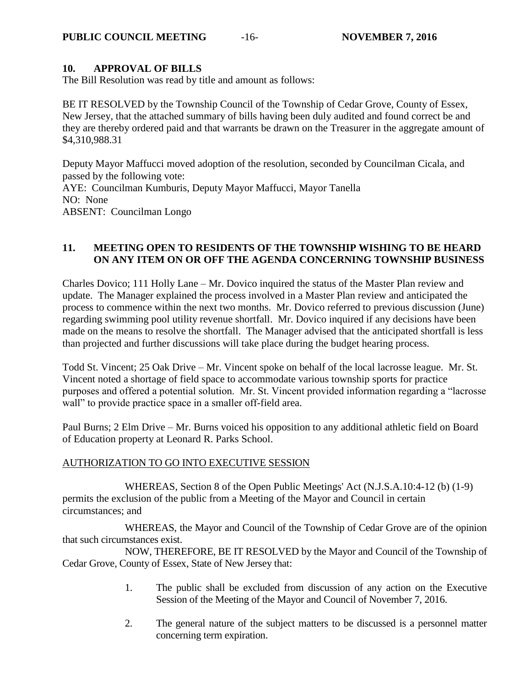#### **10. APPROVAL OF BILLS**

The Bill Resolution was read by title and amount as follows:

BE IT RESOLVED by the Township Council of the Township of Cedar Grove, County of Essex, New Jersey, that the attached summary of bills having been duly audited and found correct be and they are thereby ordered paid and that warrants be drawn on the Treasurer in the aggregate amount of \$4,310,988.31

Deputy Mayor Maffucci moved adoption of the resolution, seconded by Councilman Cicala, and passed by the following vote: AYE: Councilman Kumburis, Deputy Mayor Maffucci, Mayor Tanella NO: None ABSENT: Councilman Longo

#### **11. MEETING OPEN TO RESIDENTS OF THE TOWNSHIP WISHING TO BE HEARD ON ANY ITEM ON OR OFF THE AGENDA CONCERNING TOWNSHIP BUSINESS**

Charles Dovico; 111 Holly Lane – Mr. Dovico inquired the status of the Master Plan review and update. The Manager explained the process involved in a Master Plan review and anticipated the process to commence within the next two months. Mr. Dovico referred to previous discussion (June) regarding swimming pool utility revenue shortfall. Mr. Dovico inquired if any decisions have been made on the means to resolve the shortfall. The Manager advised that the anticipated shortfall is less than projected and further discussions will take place during the budget hearing process.

Todd St. Vincent; 25 Oak Drive – Mr. Vincent spoke on behalf of the local lacrosse league. Mr. St. Vincent noted a shortage of field space to accommodate various township sports for practice purposes and offered a potential solution. Mr. St. Vincent provided information regarding a "lacrosse wall" to provide practice space in a smaller off-field area.

Paul Burns; 2 Elm Drive – Mr. Burns voiced his opposition to any additional athletic field on Board of Education property at Leonard R. Parks School.

## AUTHORIZATION TO GO INTO EXECUTIVE SESSION

WHEREAS, Section 8 of the Open Public Meetings' Act (N.J.S.A.10:4-12 (b) (1-9) permits the exclusion of the public from a Meeting of the Mayor and Council in certain circumstances; and

WHEREAS, the Mayor and Council of the Township of Cedar Grove are of the opinion that such circumstances exist.

NOW, THEREFORE, BE IT RESOLVED by the Mayor and Council of the Township of Cedar Grove, County of Essex, State of New Jersey that:

- 1. The public shall be excluded from discussion of any action on the Executive Session of the Meeting of the Mayor and Council of November 7, 2016.
- 2. The general nature of the subject matters to be discussed is a personnel matter concerning term expiration.